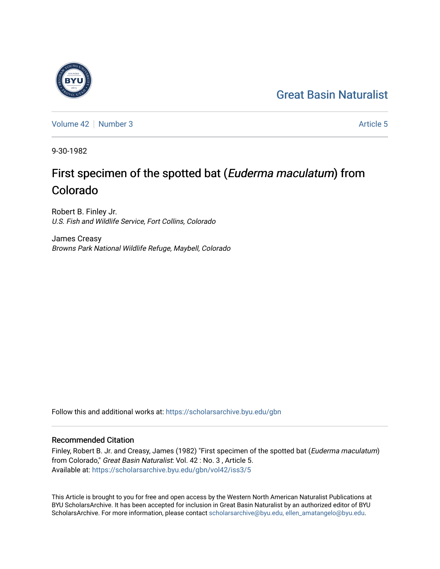## [Great Basin Naturalist](https://scholarsarchive.byu.edu/gbn)



[Volume 42](https://scholarsarchive.byu.edu/gbn/vol42) [Number 3](https://scholarsarchive.byu.edu/gbn/vol42/iss3) [Article 5](https://scholarsarchive.byu.edu/gbn/vol42/iss3/5) Article 5

9-30-1982

# First specimen of the spotted bat (Euderma maculatum) from Colorado

Robert B. Finley Jr. U.S. Fish and Wildlife Service, Fort Collins, Colorado

James Creasy Browns Park National Wildlife Refuge, Maybell, Colorado

Follow this and additional works at: [https://scholarsarchive.byu.edu/gbn](https://scholarsarchive.byu.edu/gbn?utm_source=scholarsarchive.byu.edu%2Fgbn%2Fvol42%2Fiss3%2F5&utm_medium=PDF&utm_campaign=PDFCoverPages) 

### Recommended Citation

Finley, Robert B. Jr. and Creasy, James (1982) "First specimen of the spotted bat (Euderma maculatum) from Colorado," Great Basin Naturalist: Vol. 42 : No. 3 , Article 5. Available at: [https://scholarsarchive.byu.edu/gbn/vol42/iss3/5](https://scholarsarchive.byu.edu/gbn/vol42/iss3/5?utm_source=scholarsarchive.byu.edu%2Fgbn%2Fvol42%2Fiss3%2F5&utm_medium=PDF&utm_campaign=PDFCoverPages)

This Article is brought to you for free and open access by the Western North American Naturalist Publications at BYU ScholarsArchive. It has been accepted for inclusion in Great Basin Naturalist by an authorized editor of BYU ScholarsArchive. For more information, please contact [scholarsarchive@byu.edu, ellen\\_amatangelo@byu.edu.](mailto:scholarsarchive@byu.edu,%20ellen_amatangelo@byu.edu)